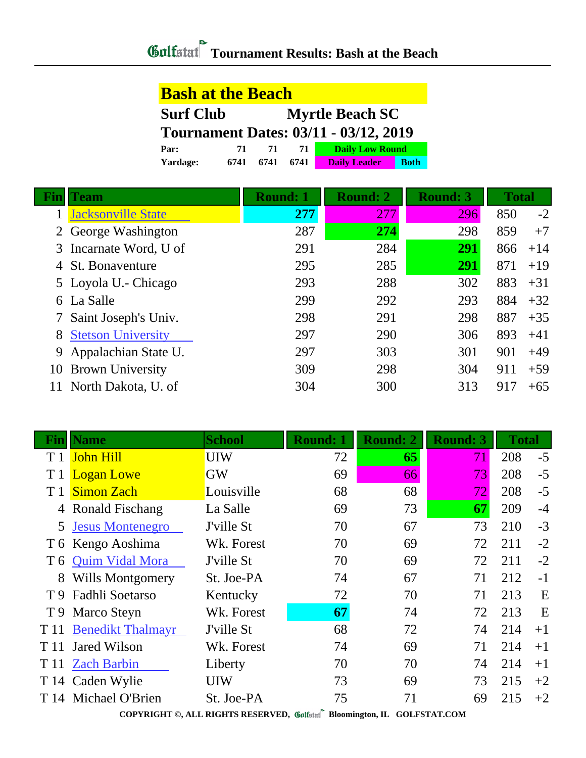## **Bash at the Beach Surf Club Myrtle Beach SC Tournament Dates: 03/11 - 03/12, 2019 Par: 71 71 71 Daily Low Round Yardage: 6741 6741 6741 Daily Leader Both**

| Team                        | <b>Round: 1</b> | <b>Round: 2</b> | <b>Round: 3</b> | <b>Total</b> |       |
|-----------------------------|-----------------|-----------------|-----------------|--------------|-------|
| <b>Jacksonville State</b>   | 277             | 277             | 296             | 850          | $-2$  |
| 2 George Washington         | 287             | 274             | 298             | 859          | $+7$  |
| 3 Incarnate Word, U of      | 291             | 284             | 291             | 866          | $+14$ |
| 4 St. Bonaventure           | 295             | 285             | 291             | 871          | $+19$ |
| 5 Loyola U. - Chicago       | 293             | 288             | 302             | 883          | $+31$ |
| 6 La Salle                  | 299             | 292             | 293             | 884          | $+32$ |
| 7 Saint Joseph's Univ.      | 298             | 291             | 298             | 887          | $+35$ |
| <b>8 Stetson University</b> | 297             | 290             | 306             | 893          | $+41$ |
| 9 Appalachian State U.      | 297             | 303             | 301             | 901          | $+49$ |
| 10 Brown University         | 309             | 298             | 304             | 911          | $+59$ |
| North Dakota, U. of         | 304             | 300             | 313             | 917          | $+65$ |

|      | <b>Name</b>              | <b>School</b> | <b>Round: 1</b> | <b>Round: 2</b> | <b>Round: 3</b> | <b>Total</b> |      |
|------|--------------------------|---------------|-----------------|-----------------|-----------------|--------------|------|
| T 1  | <b>John Hill</b>         | <b>UIW</b>    | 72              | 65              | 71              | 208          | $-5$ |
| T 1  | <b>Logan Lowe</b>        | <b>GW</b>     | 69              | 66              | 73              | 208          | $-5$ |
|      | <b>Simon Zach</b>        | Louisville    | 68              | 68              | 72              | 208          | $-5$ |
|      | 4 Ronald Fischang        | La Salle      | 69              | 73              | 67              | 209          | $-4$ |
| 5    | <b>Jesus Montenegro</b>  | J'ville St    | 70              | 67              | 73              | 210          | $-3$ |
|      | T 6 Kengo Aoshima        | Wk. Forest    | 70              | 69              | 72              | 211          | $-2$ |
|      | T 6 Quim Vidal Mora      | J'ville St    | 70              | 69              | 72              | 211          | $-2$ |
|      | 8 Wills Montgomery       | St. Joe-PA    | 74              | 67              | 71              | 212          | $-1$ |
| T 9  | Fadhli Soetarso          | Kentucky      | 72              | 70              | 71              | 213          | E    |
|      | T 9 Marco Steyn          | Wk. Forest    | 67              | 74              | 72              | 213          | E    |
| T 11 | <b>Benedikt Thalmayr</b> | J'ville St    | 68              | 72              | 74              | 214          | $+1$ |
| T 11 | <b>Jared Wilson</b>      | Wk. Forest    | 74              | 69              | 71              | 214          | $+1$ |
| T 11 | <b>Zach Barbin</b>       | Liberty       | 70              | 70              | 74              | 214          | $+1$ |
|      | T 14 Caden Wylie         | <b>UIW</b>    | 73              | 69              | 73              | 215          | $+2$ |
|      | T 14 Michael O'Brien     | St. Joe-PA    | 75              | 71              | 69              | 215          | $+2$ |

**COPYRIGHT ©, ALL RIGHTS RESERVED, Bloomington, IL GOLFSTAT.COM**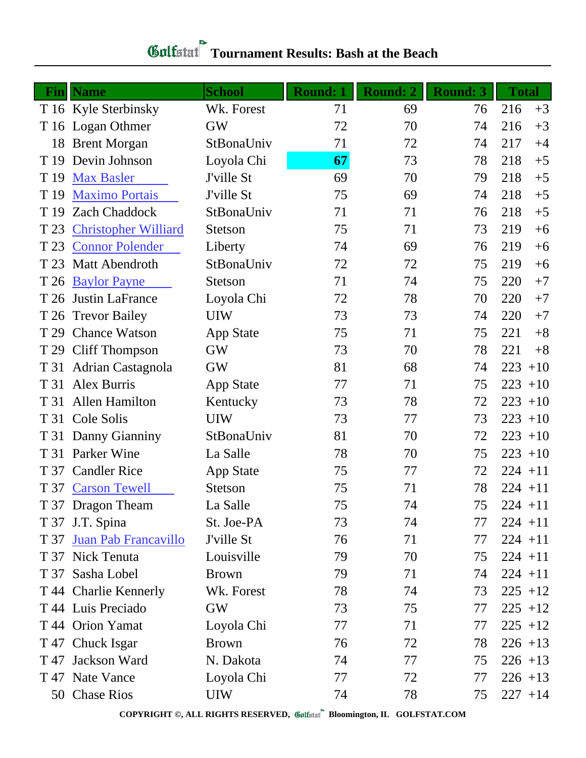| - Fin | <b>Name</b>                 | <b>School</b>    | <b>Round: 1</b> | <b>Round: 2</b> | <b>Round: 3</b> | <b>Total</b> |
|-------|-----------------------------|------------------|-----------------|-----------------|-----------------|--------------|
|       | T 16 Kyle Sterbinsky        | Wk. Forest       | 71              | 69              | 76              | 216<br>$+3$  |
|       | T 16 Logan Othmer           | <b>GW</b>        | 72              | 70              | 74              | 216<br>$+3$  |
| 18    | <b>Brent Morgan</b>         | StBonaUniv       | 71              | 72              | 74              | 217<br>$+4$  |
| T 19  | Devin Johnson               | Loyola Chi       | 67              | 73              | 78              | 218<br>$+5$  |
| T 19  | <b>Max Basler</b>           | J'ville St       | 69              | 70              | 79              | 218<br>$+5$  |
| T 19  | <b>Maximo Portais</b>       | J'ville St       | 75              | 69              | 74              | 218<br>$+5$  |
| T 19  | <b>Zach Chaddock</b>        | StBonaUniv       | 71              | 71              | 76              | 218<br>$+5$  |
| T 23  | <b>Christopher Williard</b> | <b>Stetson</b>   | 75              | 71              | 73              | 219<br>$+6$  |
| T 23  | <b>Connor Polender</b>      | Liberty          | 74              | 69              | 76              | 219<br>$+6$  |
| T 23  | Matt Abendroth              | StBonaUniv       | 72              | 72              | 75              | 219<br>$+6$  |
| T 26  | <b>Baylor Payne</b>         | <b>Stetson</b>   | 71              | 74              | 75              | $+7$<br>220  |
| T 26  | Justin LaFrance             | Loyola Chi       | 72              | 78              | 70              | 220<br>$+7$  |
| T 26  | <b>Trevor Bailey</b>        | <b>UIW</b>       | 73              | 73              | 74              | 220<br>$+7$  |
| T 29  | <b>Chance Watson</b>        | <b>App State</b> | 75              | 71              | 75              | 221<br>$+8$  |
| T 29  | <b>Cliff Thompson</b>       | <b>GW</b>        | 73              | 70              | 78              | $+8$<br>221  |
| T 31  | Adrian Castagnola           | <b>GW</b>        | 81              | 68              | 74              | 223<br>$+10$ |
| T 31  | Alex Burris                 | <b>App State</b> | 77              | 71              | 75              | 223<br>$+10$ |
| T 31  | <b>Allen Hamilton</b>       | Kentucky         | 73              | 78              | 72              | 223<br>$+10$ |
|       | T 31 Cole Solis             | <b>UIW</b>       | 73              | 77              | 73              | 223<br>$+10$ |
|       | T 31 Danny Gianniny         | StBonaUniv       | 81              | 70              | 72              | 223<br>$+10$ |
| T 31  | <b>Parker Wine</b>          | La Salle         | 78              | 70              | 75              | 223<br>$+10$ |
| T 37  | <b>Candler Rice</b>         | <b>App State</b> | 75              | 77              | 72              | $224 + 11$   |
| T 37  | <b>Carson Tewell</b>        | Stetson          | 75              | 71              | 78              | $224 + 11$   |
|       | T 37 Dragon Theam           | La Salle         | 75              | 74              | 75              | $224 + 11$   |
|       | T 37 J.T. Spina             | St. Joe-PA       | 73              | 74              | 77              | $224 + 11$   |
| T 37  | Juan Pab Francavillo        | J'ville St       | 76              | 71              | 77              | $224 + 11$   |
|       | T 37 Nick Tenuta            | Louisville       | 79              | 70              | 75              | $224 + 11$   |
|       | T 37 Sasha Lobel            | <b>Brown</b>     | 79              | 71              | 74              | $224 + 11$   |
|       | T 44 Charlie Kennerly       | Wk. Forest       | 78              | 74              | 73              | $225 + 12$   |
|       | T 44 Luis Preciado          | <b>GW</b>        | 73              | 75              | 77              | $225 + 12$   |
|       | T 44 Orion Yamat            | Loyola Chi       | 77              | 71              | 77              | $225 + 12$   |
|       | T 47 Chuck Isgar            | <b>Brown</b>     | 76              | 72              | 78              | $226 + 13$   |
|       | T 47 Jackson Ward           | N. Dakota        | 74              | 77              | 75              | $226 + 13$   |
|       | T 47 Nate Vance             | Loyola Chi       | 77              | 72              | 77              | $226 + 13$   |
|       | 50 Chase Rios               | <b>UIW</b>       | 74              | 78              | 75              | $227 + 14$   |

## **Tournament Results: Bash at the Beach**

**COPYRIGHT ©, ALL RIGHTS RESERVED, Bloomington, IL GOLFSTAT.COM**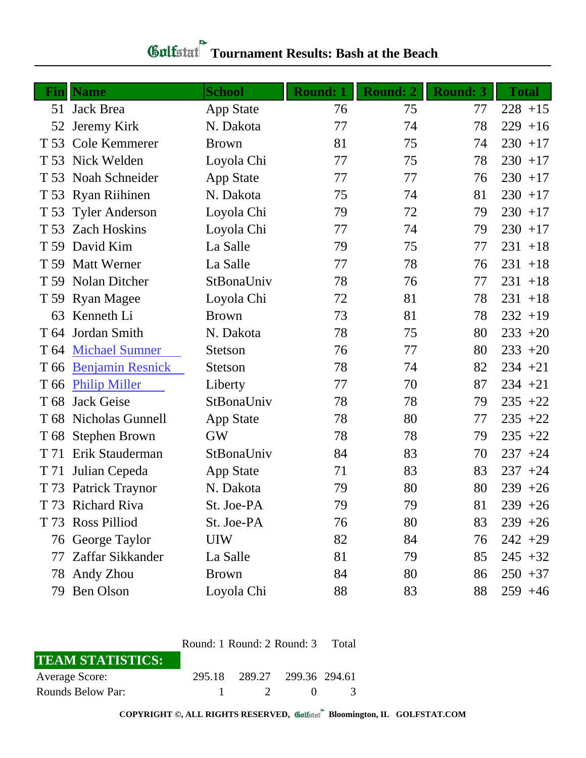|                 | <b>Fin</b> Name         | <b>School</b>    | <b>Round: 1</b> | <b>Round: 2</b> | <b>Round: 3</b> | <b>Total</b> |
|-----------------|-------------------------|------------------|-----------------|-----------------|-----------------|--------------|
|                 | 51 Jack Brea            | <b>App State</b> | 76              | 75              | 77              | $228 + 15$   |
| 52              | Jeremy Kirk             | N. Dakota        | 77              | 74              | 78              | $229 + 16$   |
| T 53            | Cole Kemmerer           | <b>Brown</b>     | 81              | 75              | 74              | $230 + 17$   |
| T 53            | Nick Welden             | Loyola Chi       | 77              | 75              | 78              | $230 + 17$   |
| T 53            | Noah Schneider          | App State        | 77              | 77              | 76              | $230 + 17$   |
| T 53            | <b>Ryan Riihinen</b>    | N. Dakota        | 75              | 74              | 81              | $230 + 17$   |
| T 53            | <b>Tyler Anderson</b>   | Loyola Chi       | 79              | 72              | 79              | $230 + 17$   |
| T 53            | <b>Zach Hoskins</b>     | Loyola Chi       | 77              | 74              | 79              | $230 + 17$   |
| T 59            | David Kim               | La Salle         | 79              | 75              | 77              | $231 + 18$   |
| T 59            | <b>Matt Werner</b>      | La Salle         | 77              | 78              | 76              | $231 + 18$   |
|                 | T 59 Nolan Ditcher      | StBonaUniv       | 78              | 76              | 77              | $231 + 18$   |
|                 | T 59 Ryan Magee         | Loyola Chi       | 72              | 81              | 78              | $231 + 18$   |
| 63              | Kenneth Li              | <b>Brown</b>     | 73              | 81              | 78              | $232 + 19$   |
| T 64            | Jordan Smith            | N. Dakota        | 78              | 75              | 80              | $233 + 20$   |
|                 | T 64 Michael Sumner     | <b>Stetson</b>   | 76              | 77              | 80              | $233 + 20$   |
| T 66            | <b>Benjamin Resnick</b> | <b>Stetson</b>   | 78              | 74              | 82              | $234 + 21$   |
| T 66            | <b>Philip Miller</b>    | Liberty          | 77              | 70              | 87              | $234 + 21$   |
| T <sub>68</sub> | <b>Jack Geise</b>       | StBonaUniv       | 78              | 78              | 79              | $235 +22$    |
|                 | T 68 Nicholas Gunnell   | <b>App State</b> | 78              | 80              | 77              | $235 +22$    |
| T 68            | <b>Stephen Brown</b>    | <b>GW</b>        | 78              | 78              | 79              | $235 +22$    |
| T 71            | Erik Stauderman         | StBonaUniv       | 84              | 83              | 70              | $237 + 24$   |
| T 71            | Julian Cepeda           | <b>App State</b> | 71              | 83              | 83              | $237 + 24$   |
| T 73            | <b>Patrick Traynor</b>  | N. Dakota        | 79              | 80              | 80              | $239 + 26$   |
|                 | T 73 Richard Riva       | St. Joe-PA       | 79              | 79              | 81              | $239 + 26$   |
| T 73            | <b>Ross Pilliod</b>     | St. Joe-PA       | 76              | 80              | 83              | $239 + 26$   |
|                 | 76 George Taylor        | <b>UIW</b>       | 82              | 84              | 76              | $242 + 29$   |
| 77              | Zaffar Sikkander        | La Salle         | 81              | 79              | 85              | $245 + 32$   |
|                 | 78 Andy Zhou            | <b>Brown</b>     | 84              | 80              | 86              | $250 + 37$   |
| 79              | Ben Olson               | Loyola Chi       | 88              | 83              | 88              | $259 + 46$   |

## **Tournament Results: Bash at the Beach**

|                         | Round: 1 Round: 2 Round: 3 Total |                             |              |               |
|-------------------------|----------------------------------|-----------------------------|--------------|---------------|
| <b>TEAM STATISTICS:</b> |                                  |                             |              |               |
| <b>Average Score:</b>   |                                  | 295.18 289.27 299.36 294.61 |              |               |
| Rounds Below Par:       |                                  | $\overline{\mathcal{L}}$    | $\mathbf{U}$ | $\mathcal{L}$ |

**COPYRIGHT ©, ALL RIGHTS RESERVED, Bloomington, IL GOLFSTAT.COM**